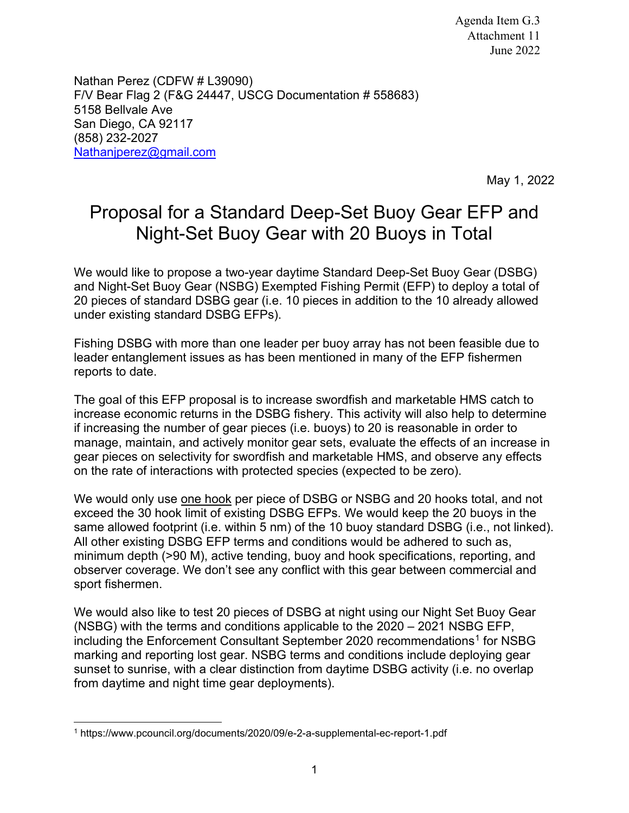Nathan Perez (CDFW # L39090) F/V Bear Flag 2 (F&G 24447, USCG Documentation # 558683) 5158 Bellvale Ave San Diego, CA 92117 (858) 232-2027 [Nathanjperez@gmail.com](mailto:Nathanjperez@gmail.com)

May 1, 2022

## Proposal for a Standard Deep-Set Buoy Gear EFP and Night-Set Buoy Gear with 20 Buoys in Total

We would like to propose a two-year daytime Standard Deep-Set Buoy Gear (DSBG) and Night-Set Buoy Gear (NSBG) Exempted Fishing Permit (EFP) to deploy a total of 20 pieces of standard DSBG gear (i.e. 10 pieces in addition to the 10 already allowed under existing standard DSBG EFPs).

Fishing DSBG with more than one leader per buoy array has not been feasible due to leader entanglement issues as has been mentioned in many of the EFP fishermen reports to date.

The goal of this EFP proposal is to increase swordfish and marketable HMS catch to increase economic returns in the DSBG fishery. This activity will also help to determine if increasing the number of gear pieces (i.e. buoys) to 20 is reasonable in order to manage, maintain, and actively monitor gear sets, evaluate the effects of an increase in gear pieces on selectivity for swordfish and marketable HMS, and observe any effects on the rate of interactions with protected species (expected to be zero).

We would only use one hook per piece of DSBG or NSBG and 20 hooks total, and not exceed the 30 hook limit of existing DSBG EFPs. We would keep the 20 buoys in the same allowed footprint (i.e. within 5 nm) of the 10 buoy standard DSBG (i.e., not linked). All other existing DSBG EFP terms and conditions would be adhered to such as, minimum depth (>90 M), active tending, buoy and hook specifications, reporting, and observer coverage. We don't see any conflict with this gear between commercial and sport fishermen.

We would also like to test 20 pieces of DSBG at night using our Night Set Buoy Gear (NSBG) with the terms and conditions applicable to the 2020 – 2021 NSBG EFP, including the Enforcement Consultant September 2020 recommendations<sup>[1](#page-0-0)</sup> for NSBG marking and reporting lost gear. NSBG terms and conditions include deploying gear sunset to sunrise, with a clear distinction from daytime DSBG activity (i.e. no overlap from daytime and night time gear deployments).

<span id="page-0-0"></span><sup>1</sup> https://www.pcouncil.org/documents/2020/09/e-2-a-supplemental-ec-report-1.pdf